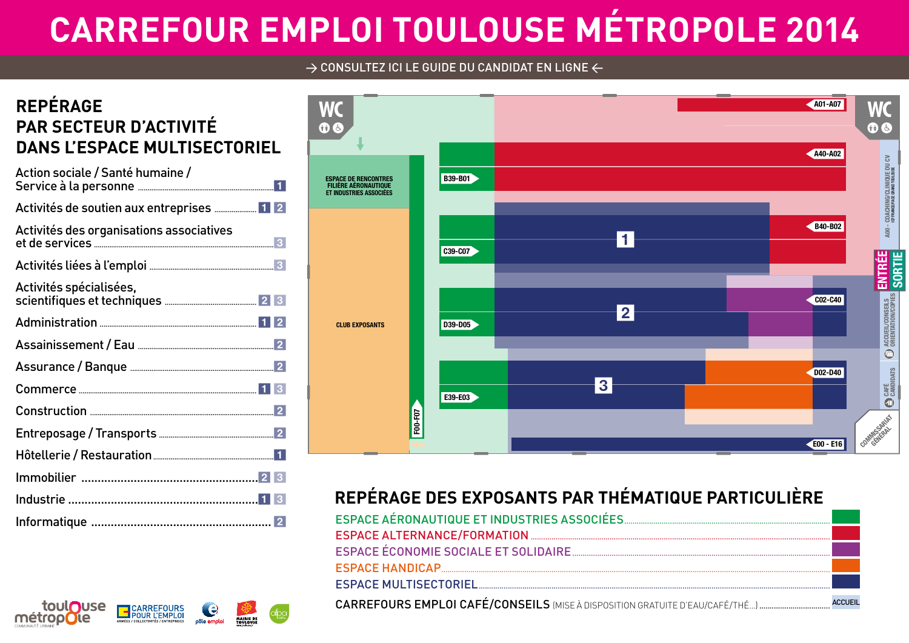# **CARREFOUR EMPLOI TOULOUSE MÉTROPOLE 2014**

#### $\rightarrow$  CONSULTEZ ICI LE GUIDE DU CANDIDAT EN LIGNE  $\leftarrow$

### **REPÉRAGE PAR SECTEUR D'ACTIVITÉ DANS L'ESPACE MULTISECTORIEL**

| Action sociale / Santé humaine /          |
|-------------------------------------------|
| Activités de soutien aux entreprises  1 2 |
| Activités des organisations associatives  |
|                                           |
| Activités spécialisées,                   |
|                                           |
|                                           |
|                                           |
|                                           |
|                                           |
|                                           |
|                                           |
|                                           |
|                                           |
|                                           |

CARREFOURS

e

pôle emploi

MAIRIE DE

toul**ouse** 

métropole



### **REPÉRAGE DES EXPOSANTS PAR THÉMATIQUE PARTICULIÈRE**

| F00-F07                                     |                                                                              |                |
|---------------------------------------------|------------------------------------------------------------------------------|----------------|
|                                             | REPÉRAGE DES EXPOSANTS PAR THÉMATIQUE PARTICULIÈRE                           |                |
| ESPACE AÉRONAUTIQUE ET INDUSTRIES ASSOCIÉES |                                                                              |                |
|                                             |                                                                              |                |
|                                             |                                                                              |                |
| ESPACE HANDICAP                             |                                                                              |                |
|                                             |                                                                              |                |
|                                             | CARREFOURS EMPLOI CAFÉ/CONSEILS (MISE À DISPOSITION GRATUITE D'EAU/CAFÉ/THÉ) | <b>ACCUEIL</b> |